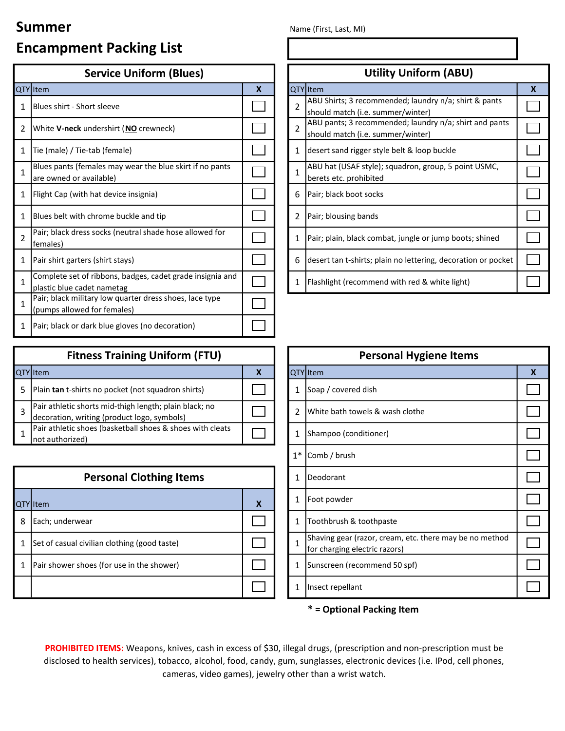## Summer Name (First, Last, MI)

# Encampment Packing List

| <b>Service Uniform (Blues)</b> |                                                                                         |                  |  | <b>Utility Uniform (ABU)</b> |                                                                                             |                  |  |  |
|--------------------------------|-----------------------------------------------------------------------------------------|------------------|--|------------------------------|---------------------------------------------------------------------------------------------|------------------|--|--|
|                                | QTY Item                                                                                | $\boldsymbol{X}$ |  |                              | QTY Item                                                                                    | $\boldsymbol{X}$ |  |  |
| 1                              | <b>IBlues shirt - Short sleeve</b>                                                      |                  |  | $\overline{2}$               | ABU Shirts; 3 recommended; laundry n/a; shirt & pants<br>should match (i.e. summer/winter)  |                  |  |  |
| 2                              | White V-neck undershirt (NO crewneck)                                                   |                  |  | $\overline{2}$               | ABU pants; 3 recommended; laundry n/a; shirt and pants<br>should match (i.e. summer/winter) |                  |  |  |
| 1                              | Tie (male) / Tie-tab (female)                                                           |                  |  | 1                            | desert sand rigger style belt & loop buckle                                                 |                  |  |  |
| 1                              | Blues pants (females may wear the blue skirt if no pants<br>are owned or available)     |                  |  | $\mathbf{1}$                 | ABU hat (USAF style); squadron, group, 5 point USMC,<br>berets etc. prohibited              |                  |  |  |
| 1                              | Flight Cap (with hat device insignia)                                                   |                  |  | 6                            | Pair; black boot socks                                                                      |                  |  |  |
| 1                              | Blues belt with chrome buckle and tip                                                   |                  |  | 2                            | Pair; blousing bands                                                                        |                  |  |  |
| $\mathfrak{p}$                 | Pair; black dress socks (neutral shade hose allowed for<br>females)                     |                  |  | 1                            | Pair; plain, black combat, jungle or jump boots; shined                                     |                  |  |  |
| 1                              | Pair shirt garters (shirt stays)                                                        |                  |  | 6                            | desert tan t-shirts; plain no lettering, decoration or pocket                               |                  |  |  |
| 1                              | Complete set of ribbons, badges, cadet grade insignia and<br>plastic blue cadet nametag |                  |  | 1                            | Flashlight (recommend with red & white light)                                               |                  |  |  |
| 1                              | Pair; black military low quarter dress shoes, lace type<br>(pumps allowed for females)  |                  |  |                              |                                                                                             |                  |  |  |
| 1                              | Pair; black or dark blue gloves (no decoration)                                         |                  |  |                              |                                                                                             |                  |  |  |

| <b>Fitness Training Uniform (FTU)</b>                                                                 |  |  | <b>Personal Hygiene Items</b>   |  |  |
|-------------------------------------------------------------------------------------------------------|--|--|---------------------------------|--|--|
| QTY Item                                                                                              |  |  | <b>QTY</b> Item                 |  |  |
| Plain tan t-shirts no pocket (not squadron shirts)                                                    |  |  | Soap / covered dish             |  |  |
| Pair athletic shorts mid-thigh length; plain black; no<br>decoration, writing (product logo, symbols) |  |  | White bath towels & wash clothe |  |  |
| Pair athletic shoes (basketball shoes & shoes with cleats<br>not authorized)                          |  |  | (Shampoo (conditioner)          |  |  |

| <b>Personal Clothing Items</b> |                                              |   |  | 1 | <b>IDeodorant</b>                                                 |
|--------------------------------|----------------------------------------------|---|--|---|-------------------------------------------------------------------|
|                                | <b>QTY</b> Item                              | X |  | 1 | Foot powder                                                       |
| 8                              | Each; underwear                              |   |  | 1 | Toothbrush & toothpaste                                           |
|                                | Set of casual civilian clothing (good taste) |   |  |   | Shaving gear (razor, cream, etc.<br>for charging electric razors) |
|                                | Pair shower shoes (for use in the shower)    |   |  | 1 | Sunscreen (recommend 50 spf)                                      |
|                                |                                              |   |  | 1 | Insect repellant                                                  |

|                | <b>Utility Uniform (ABU)</b>                                                                |   |  |  |  |  |  |
|----------------|---------------------------------------------------------------------------------------------|---|--|--|--|--|--|
|                | QTY Item                                                                                    | X |  |  |  |  |  |
| $\overline{2}$ | ABU Shirts; 3 recommended; laundry n/a; shirt & pants<br>should match (i.e. summer/winter)  |   |  |  |  |  |  |
| 2              | ABU pants; 3 recommended; laundry n/a; shirt and pants<br>should match (i.e. summer/winter) |   |  |  |  |  |  |
| 1              | desert sand rigger style belt & loop buckle                                                 |   |  |  |  |  |  |
| $\mathbf{1}$   | ABU hat (USAF style); squadron, group, 5 point USMC,<br>berets etc. prohibited              |   |  |  |  |  |  |
| 6              | Pair; black boot socks                                                                      |   |  |  |  |  |  |
| 2              | Pair; blousing bands                                                                        |   |  |  |  |  |  |
| 1              | Pair; plain, black combat, jungle or jump boots; shined                                     |   |  |  |  |  |  |
| 6              | desert tan t-shirts; plain no lettering, decoration or pocket                               |   |  |  |  |  |  |
| 1              | Flashlight (recommend with red & white light)                                               |   |  |  |  |  |  |

| <b>Personal Hygiene Items</b> |                                                                                          |   |  |  |  |
|-------------------------------|------------------------------------------------------------------------------------------|---|--|--|--|
|                               | QTY Item                                                                                 | X |  |  |  |
| 1                             | Soap / covered dish                                                                      |   |  |  |  |
| 2                             | White bath towels & wash clothe                                                          |   |  |  |  |
| 1                             | Shampoo (conditioner)                                                                    |   |  |  |  |
| $1*$                          | Comb / brush                                                                             |   |  |  |  |
| 1                             | Deodorant                                                                                |   |  |  |  |
| 1                             | Foot powder                                                                              |   |  |  |  |
| 1                             | Toothbrush & toothpaste                                                                  |   |  |  |  |
| $\mathbf{1}$                  | Shaving gear (razor, cream, etc. there may be no method<br>for charging electric razors) |   |  |  |  |
| 1                             | Sunscreen (recommend 50 spf)                                                             |   |  |  |  |
| 1                             | Insect repellant                                                                         |   |  |  |  |

### \* = Optional Packing Item

PROHIBITED ITEMS: Weapons, knives, cash in excess of \$30, illegal drugs, (prescription and non-prescription must be disclosed to health services), tobacco, alcohol, food, candy, gum, sunglasses, electronic devices (i.e. IPod, cell phones, cameras, video games), jewelry other than a wrist watch.